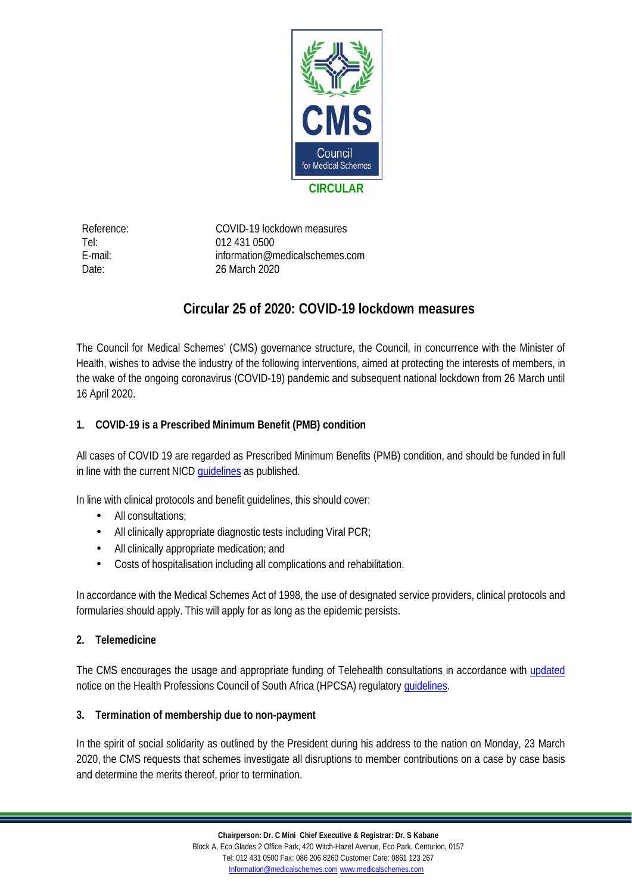

Reference: COVID-19 lockdown measures Tel: 012 431 0500 E-mail: information@medicalschemes.com Date: 26 March 2020

## **Circular 25 of 2020: COVID-19 lockdown measures**

The Council for Medical Schemes' (CMS) governance structure, the Council, in concurrence with the Minister of Health, wishes to advise the industry of the following interventions, aimed at protecting the interests of members, in the wake of the ongoing coronavirus (COVID-19) pandemic and subsequent national lockdown from 26 March until 16 April 2020.

## **1. COVID-19 is a Prescribed Minimum Benefit (PMB) condition**

All cases of COVID 19 are regarded as Prescribed Minimum Benefits (PMB) condition, and should be funded in full in line with the current NICD [guidelines](http://www.medicalschemes.com/files/extras/Clinical_management_of_suspected_or_acute_COVID_V1.1_13.03.20_updated.pdf) as published.

In line with clinical protocols and benefit guidelines, this should cover:

- All consultations;
- All clinically appropriate diagnostic tests including Viral PCR;  $\mathcal{L}^{\text{max}}$
- All clinically appropriate medication; and
- Costs of hospitalisation including all complications and rehabilitation.

In accordance with the Medical Schemes Act of 1998, the use of designated service providers, clinical protocols and formularies should apply. This will apply for as long as the epidemic persists.

**2. Telemedicine**

The CMS encourages the usage and appropriate funding of Telehealth consultations in accordance with [updated](http://www.medicalschemes.com/files/extras/APPLICATION_OF_TELEMEDICINE_GUIDELINES.pdf) notice on the Health Professions Council of South Africa (HPCSA) regulatory quidelines.

**3. Termination of membership due to non-payment**

In the spirit of social solidarity as outlined by the President during his address to the nation on Monday, 23 March 2020, the CMS requests that schemes investigate all disruptions to member contributions on a case by case basis and determine the merits thereof, prior to termination.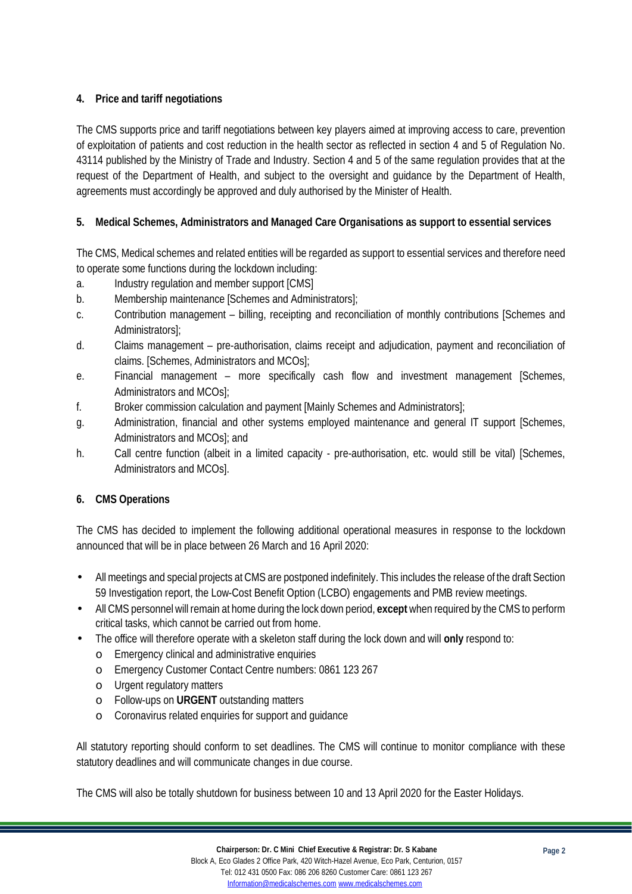## **4. Price and tariff negotiations**

The CMS supports price and tariff negotiations between key players aimed at improving access to care, prevention of exploitation of patients and cost reduction in the health sector as reflected in section 4 and 5 of Regulation No. 43114 published by the Ministry of Trade and Industry. Section 4 and 5 of the same regulation provides that at the request of the Department of Health, and subject to the oversight and guidance by the Department of Health, agreements must accordingly be approved and duly authorised by the Minister of Health.

**5. Medical Schemes, Administrators and Managed Care Organisations as support to essential services**

The CMS, Medical schemes and related entities will be regarded as support to essential services and therefore need to operate some functions during the lockdown including:

- a. Industry regulation and member support [CMS]
- b. Membership maintenance [Schemes and Administrators];
- c. Contribution management billing, receipting and reconciliation of monthly contributions [Schemes and Administrators];
- d. Claims management pre-authorisation, claims receipt and adjudication, payment and reconciliation of claims. [Schemes, Administrators and MCOs];
- e. Financial management more specifically cash flow and investment management [Schemes, Administrators and MCOs];
- f. Broker commission calculation and payment [Mainly Schemes and Administrators];
- g. Administration, financial and other systems employed maintenance and general IT support [Schemes, Administrators and MCOs]; and
- h. Call centre function (albeit in a limited capacity pre-authorisation, etc. would still be vital) [Schemes, Administrators and MCOs].
- **6. CMS Operations**

The CMS has decided to implement the following additional operational measures in response to the lockdown announced that will be in place between 26 March and 16 April 2020:

- All meetings and special projects at CMS are postponed indefinitely. This includes the release of the draft Section 59 Investigation report, the Low-Cost Benefit Option (LCBO) engagements and PMB review meetings.
- All CMS personnel will remain at home during the lock down period, **except** when required by the CMS to perform critical tasks, which cannot be carried out from home.
- The office will therefore operate with a skeleton staff during the lock down and will **only** respond to:
	- o Emergency clinical and administrative enquiries
	- o Emergency Customer Contact Centre numbers: 0861 123 267
	- o Urgent regulatory matters
	- o Follow-ups on **URGENT** outstanding matters
	- o Coronavirus related enquiries for support and guidance

All statutory reporting should conform to set deadlines. The CMS will continue to monitor compliance with these statutory deadlines and will communicate changes in due course.

The CMS will also be totally shutdown for business between 10 and 13 April 2020 for the Easter Holidays.